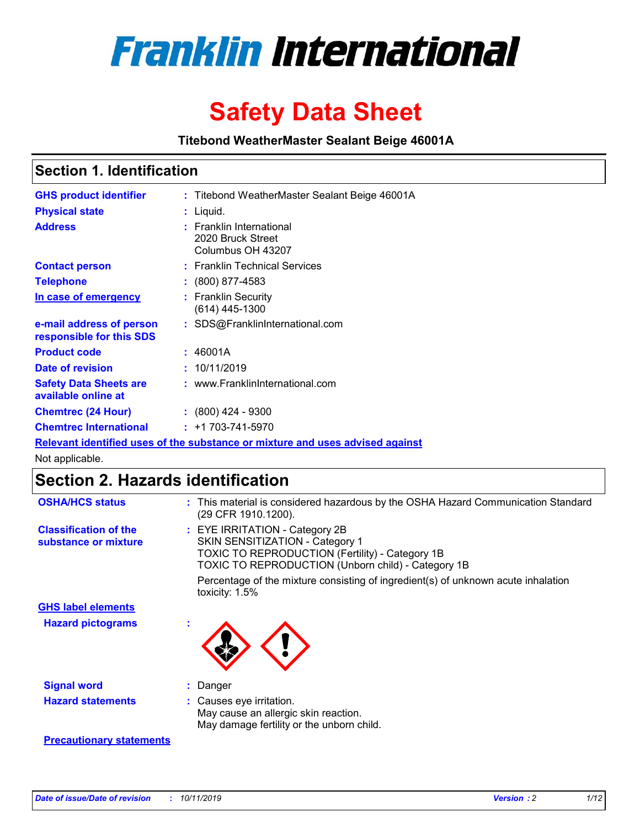

# **Safety Data Sheet**

**Titebond WeatherMaster Sealant Beige 46001A**

## **Section 1. Identification**

| <b>GHS product identifier</b>                        | : Titebond WeatherMaster Sealant Beige 46001A                                 |
|------------------------------------------------------|-------------------------------------------------------------------------------|
| <b>Physical state</b>                                | : Liquid.                                                                     |
| <b>Address</b>                                       | : Franklin International<br>2020 Bruck Street<br>Columbus OH 43207            |
| <b>Contact person</b>                                | : Franklin Technical Services                                                 |
| <b>Telephone</b>                                     | : (800) 877-4583                                                              |
| In case of emergency                                 | : Franklin Security<br>$(614)$ 445-1300                                       |
| e-mail address of person<br>responsible for this SDS | : SDS@FranklinInternational.com                                               |
| <b>Product code</b>                                  | : 46001A                                                                      |
| Date of revision                                     | : 10/11/2019                                                                  |
| <b>Safety Data Sheets are</b><br>available online at | : www.FranklinInternational.com                                               |
| <b>Chemtrec (24 Hour)</b>                            | $\div$ (800) 424 - 9300                                                       |
| <b>Chemtrec International</b>                        | $: +1703 - 741 - 5970$                                                        |
|                                                      | Relevant identified uses of the substance or mixture and uses advised against |

Not applicable.

# **Section 2. Hazards identification**

| <b>OSHA/HCS status</b>                               | : This material is considered hazardous by the OSHA Hazard Communication Standard<br>(29 CFR 1910.1200).                                                                          |
|------------------------------------------------------|-----------------------------------------------------------------------------------------------------------------------------------------------------------------------------------|
| <b>Classification of the</b><br>substance or mixture | : EYE IRRITATION - Category 2B<br>SKIN SENSITIZATION - Category 1<br><b>TOXIC TO REPRODUCTION (Fertility) - Category 1B</b><br>TOXIC TO REPRODUCTION (Unborn child) - Category 1B |
|                                                      | Percentage of the mixture consisting of ingredient(s) of unknown acute inhalation<br>toxicity: $1.5\%$                                                                            |
| <b>GHS label elements</b>                            |                                                                                                                                                                                   |
| <b>Hazard pictograms</b>                             |                                                                                                                                                                                   |
| <b>Signal word</b>                                   | : Danger                                                                                                                                                                          |
| <b>Hazard statements</b>                             | : Causes eye irritation.<br>May cause an allergic skin reaction.<br>May damage fertility or the unborn child.                                                                     |
| <b>Precautionary statements</b>                      |                                                                                                                                                                                   |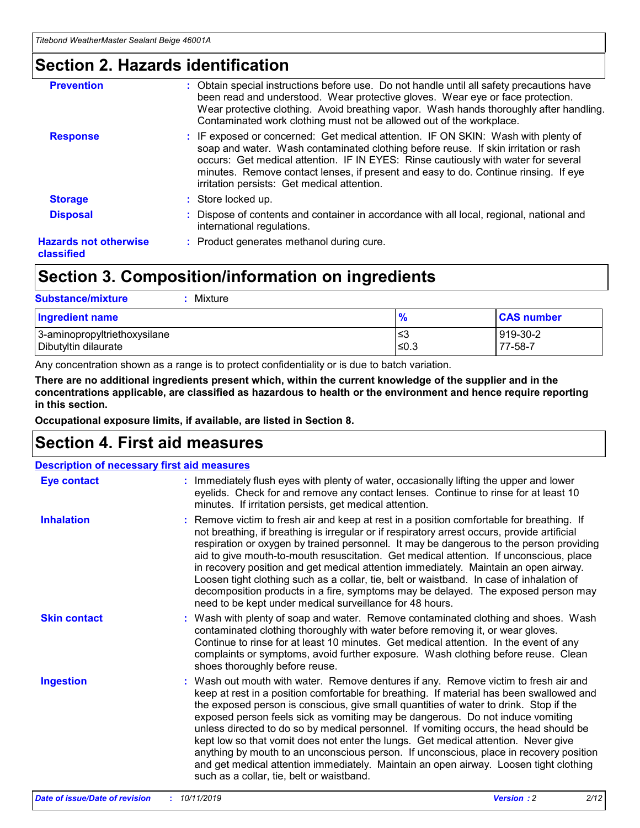## **Section 2. Hazards identification**

| <b>Prevention</b>                          | : Obtain special instructions before use. Do not handle until all safety precautions have<br>been read and understood. Wear protective gloves. Wear eye or face protection.<br>Wear protective clothing. Avoid breathing vapor. Wash hands thoroughly after handling.<br>Contaminated work clothing must not be allowed out of the workplace.                                                        |
|--------------------------------------------|------------------------------------------------------------------------------------------------------------------------------------------------------------------------------------------------------------------------------------------------------------------------------------------------------------------------------------------------------------------------------------------------------|
| <b>Response</b>                            | : IF exposed or concerned: Get medical attention. IF ON SKIN: Wash with plenty of<br>soap and water. Wash contaminated clothing before reuse. If skin irritation or rash<br>occurs: Get medical attention. IF IN EYES: Rinse cautiously with water for several<br>minutes. Remove contact lenses, if present and easy to do. Continue rinsing. If eye<br>irritation persists: Get medical attention. |
| <b>Storage</b>                             | : Store locked up.                                                                                                                                                                                                                                                                                                                                                                                   |
| <b>Disposal</b>                            | : Dispose of contents and container in accordance with all local, regional, national and<br>international regulations.                                                                                                                                                                                                                                                                               |
| <b>Hazards not otherwise</b><br>classified | : Product generates methanol during cure.                                                                                                                                                                                                                                                                                                                                                            |
|                                            |                                                                                                                                                                                                                                                                                                                                                                                                      |

# **Section 3. Composition/information on ingredients**

| <b>Substance/mixture</b><br>Mixture                  |                   |                     |
|------------------------------------------------------|-------------------|---------------------|
| <b>Ingredient name</b>                               | $\frac{9}{6}$     | <b>CAS number</b>   |
| 3-aminopropyltriethoxysilane<br>Dibutyltin dilaurate | l≤3<br>$\leq 0.3$ | 919-30-2<br>77-58-7 |

Any concentration shown as a range is to protect confidentiality or is due to batch variation.

**There are no additional ingredients present which, within the current knowledge of the supplier and in the concentrations applicable, are classified as hazardous to health or the environment and hence require reporting in this section.**

**Occupational exposure limits, if available, are listed in Section 8.**

# **Section 4. First aid measures**

| <b>Description of necessary first aid measures</b> |                                                                                                                                                                                                                                                                                                                                                                                                                                                                                                                                                                                                                                                                                                                                                                           |  |  |  |
|----------------------------------------------------|---------------------------------------------------------------------------------------------------------------------------------------------------------------------------------------------------------------------------------------------------------------------------------------------------------------------------------------------------------------------------------------------------------------------------------------------------------------------------------------------------------------------------------------------------------------------------------------------------------------------------------------------------------------------------------------------------------------------------------------------------------------------------|--|--|--|
| <b>Eye contact</b>                                 | : Immediately flush eyes with plenty of water, occasionally lifting the upper and lower<br>eyelids. Check for and remove any contact lenses. Continue to rinse for at least 10<br>minutes. If irritation persists, get medical attention.                                                                                                                                                                                                                                                                                                                                                                                                                                                                                                                                 |  |  |  |
| <b>Inhalation</b>                                  | : Remove victim to fresh air and keep at rest in a position comfortable for breathing. If<br>not breathing, if breathing is irregular or if respiratory arrest occurs, provide artificial<br>respiration or oxygen by trained personnel. It may be dangerous to the person providing<br>aid to give mouth-to-mouth resuscitation. Get medical attention. If unconscious, place<br>in recovery position and get medical attention immediately. Maintain an open airway.<br>Loosen tight clothing such as a collar, tie, belt or waistband. In case of inhalation of<br>decomposition products in a fire, symptoms may be delayed. The exposed person may<br>need to be kept under medical surveillance for 48 hours.                                                       |  |  |  |
| <b>Skin contact</b>                                | : Wash with plenty of soap and water. Remove contaminated clothing and shoes. Wash<br>contaminated clothing thoroughly with water before removing it, or wear gloves.<br>Continue to rinse for at least 10 minutes. Get medical attention. In the event of any<br>complaints or symptoms, avoid further exposure. Wash clothing before reuse. Clean<br>shoes thoroughly before reuse.                                                                                                                                                                                                                                                                                                                                                                                     |  |  |  |
| <b>Ingestion</b>                                   | : Wash out mouth with water. Remove dentures if any. Remove victim to fresh air and<br>keep at rest in a position comfortable for breathing. If material has been swallowed and<br>the exposed person is conscious, give small quantities of water to drink. Stop if the<br>exposed person feels sick as vomiting may be dangerous. Do not induce vomiting<br>unless directed to do so by medical personnel. If vomiting occurs, the head should be<br>kept low so that vomit does not enter the lungs. Get medical attention. Never give<br>anything by mouth to an unconscious person. If unconscious, place in recovery position<br>and get medical attention immediately. Maintain an open airway. Loosen tight clothing<br>such as a collar, tie, belt or waistband. |  |  |  |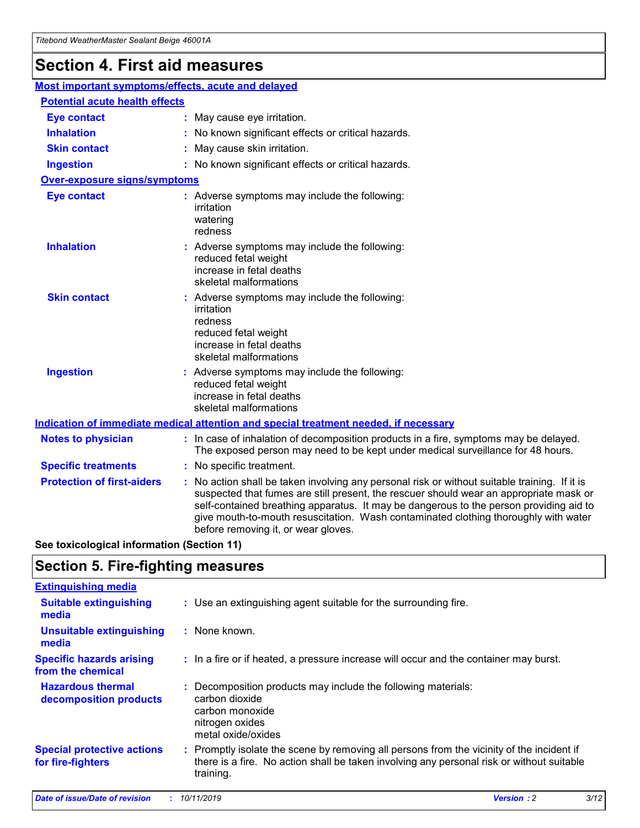# **Section 4. First aid measures**

| Most important symptoms/effects, acute and delayed |  |                                                                                                                                                                                                                                                                                                                                                                                                                 |  |  |
|----------------------------------------------------|--|-----------------------------------------------------------------------------------------------------------------------------------------------------------------------------------------------------------------------------------------------------------------------------------------------------------------------------------------------------------------------------------------------------------------|--|--|
| <b>Potential acute health effects</b>              |  |                                                                                                                                                                                                                                                                                                                                                                                                                 |  |  |
| <b>Eye contact</b>                                 |  | : May cause eye irritation.                                                                                                                                                                                                                                                                                                                                                                                     |  |  |
| <b>Inhalation</b>                                  |  | : No known significant effects or critical hazards.                                                                                                                                                                                                                                                                                                                                                             |  |  |
| <b>Skin contact</b>                                |  | : May cause skin irritation.                                                                                                                                                                                                                                                                                                                                                                                    |  |  |
| <b>Ingestion</b>                                   |  | : No known significant effects or critical hazards.                                                                                                                                                                                                                                                                                                                                                             |  |  |
| Over-exposure signs/symptoms                       |  |                                                                                                                                                                                                                                                                                                                                                                                                                 |  |  |
| <b>Eye contact</b>                                 |  | : Adverse symptoms may include the following:<br>irritation<br>watering<br>redness                                                                                                                                                                                                                                                                                                                              |  |  |
| <b>Inhalation</b>                                  |  | : Adverse symptoms may include the following:<br>reduced fetal weight<br>increase in fetal deaths<br>skeletal malformations                                                                                                                                                                                                                                                                                     |  |  |
| <b>Skin contact</b>                                |  | : Adverse symptoms may include the following:<br>irritation<br>redness<br>reduced fetal weight<br>increase in fetal deaths<br>skeletal malformations                                                                                                                                                                                                                                                            |  |  |
| <b>Ingestion</b>                                   |  | : Adverse symptoms may include the following:<br>reduced fetal weight<br>increase in fetal deaths<br>skeletal malformations                                                                                                                                                                                                                                                                                     |  |  |
|                                                    |  | <b>Indication of immediate medical attention and special treatment needed, if necessary</b>                                                                                                                                                                                                                                                                                                                     |  |  |
| <b>Notes to physician</b>                          |  | : In case of inhalation of decomposition products in a fire, symptoms may be delayed.<br>The exposed person may need to be kept under medical surveillance for 48 hours.                                                                                                                                                                                                                                        |  |  |
| <b>Specific treatments</b>                         |  | : No specific treatment.                                                                                                                                                                                                                                                                                                                                                                                        |  |  |
| <b>Protection of first-aiders</b>                  |  | : No action shall be taken involving any personal risk or without suitable training. If it is<br>suspected that fumes are still present, the rescuer should wear an appropriate mask or<br>self-contained breathing apparatus. It may be dangerous to the person providing aid to<br>give mouth-to-mouth resuscitation. Wash contaminated clothing thoroughly with water<br>before removing it, or wear gloves. |  |  |

**See toxicological information (Section 11)**

## **Section 5. Fire-fighting measures**

| <b>Extinguishing media</b>                             |                                                                                                                                                                                                     |
|--------------------------------------------------------|-----------------------------------------------------------------------------------------------------------------------------------------------------------------------------------------------------|
| <b>Suitable extinguishing</b><br>media                 | : Use an extinguishing agent suitable for the surrounding fire.                                                                                                                                     |
| <b>Unsuitable extinguishing</b><br>media               | : None known.                                                                                                                                                                                       |
| <b>Specific hazards arising</b><br>from the chemical   | : In a fire or if heated, a pressure increase will occur and the container may burst.                                                                                                               |
| <b>Hazardous thermal</b><br>decomposition products     | : Decomposition products may include the following materials:<br>carbon dioxide<br>carbon monoxide<br>nitrogen oxides<br>metal oxide/oxides                                                         |
| <b>Special protective actions</b><br>for fire-fighters | : Promptly isolate the scene by removing all persons from the vicinity of the incident if<br>there is a fire. No action shall be taken involving any personal risk or without suitable<br>training. |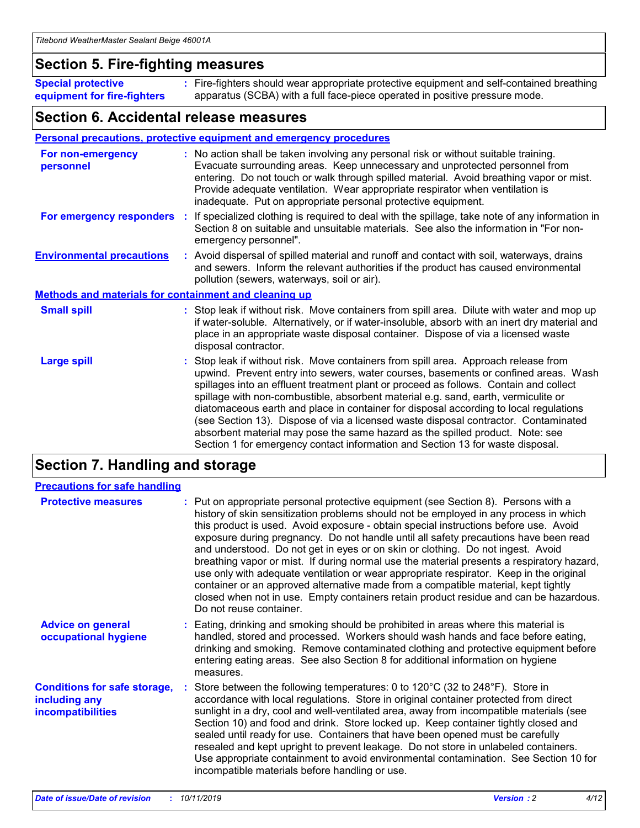## **Section 5. Fire-fighting measures**

**Special protective equipment for fire-fighters** Fire-fighters should wear appropriate protective equipment and self-contained breathing **:** apparatus (SCBA) with a full face-piece operated in positive pressure mode.

## **Section 6. Accidental release measures**

#### **Personal precautions, protective equipment and emergency procedures**

| For non-emergency<br>personnel                               | : No action shall be taken involving any personal risk or without suitable training.<br>Evacuate surrounding areas. Keep unnecessary and unprotected personnel from<br>entering. Do not touch or walk through spilled material. Avoid breathing vapor or mist.<br>Provide adequate ventilation. Wear appropriate respirator when ventilation is<br>inadequate. Put on appropriate personal protective equipment.                                                                                                                                                                                                                                                                                             |
|--------------------------------------------------------------|--------------------------------------------------------------------------------------------------------------------------------------------------------------------------------------------------------------------------------------------------------------------------------------------------------------------------------------------------------------------------------------------------------------------------------------------------------------------------------------------------------------------------------------------------------------------------------------------------------------------------------------------------------------------------------------------------------------|
|                                                              | For emergency responders : If specialized clothing is required to deal with the spillage, take note of any information in<br>Section 8 on suitable and unsuitable materials. See also the information in "For non-<br>emergency personnel".                                                                                                                                                                                                                                                                                                                                                                                                                                                                  |
| <b>Environmental precautions</b>                             | : Avoid dispersal of spilled material and runoff and contact with soil, waterways, drains<br>and sewers. Inform the relevant authorities if the product has caused environmental<br>pollution (sewers, waterways, soil or air).                                                                                                                                                                                                                                                                                                                                                                                                                                                                              |
| <b>Methods and materials for containment and cleaning up</b> |                                                                                                                                                                                                                                                                                                                                                                                                                                                                                                                                                                                                                                                                                                              |
| <b>Small spill</b>                                           | : Stop leak if without risk. Move containers from spill area. Dilute with water and mop up<br>if water-soluble. Alternatively, or if water-insoluble, absorb with an inert dry material and<br>place in an appropriate waste disposal container. Dispose of via a licensed waste<br>disposal contractor.                                                                                                                                                                                                                                                                                                                                                                                                     |
| <b>Large spill</b>                                           | : Stop leak if without risk. Move containers from spill area. Approach release from<br>upwind. Prevent entry into sewers, water courses, basements or confined areas. Wash<br>spillages into an effluent treatment plant or proceed as follows. Contain and collect<br>spillage with non-combustible, absorbent material e.g. sand, earth, vermiculite or<br>diatomaceous earth and place in container for disposal according to local regulations<br>(see Section 13). Dispose of via a licensed waste disposal contractor. Contaminated<br>absorbent material may pose the same hazard as the spilled product. Note: see<br>Section 1 for emergency contact information and Section 13 for waste disposal. |

# **Section 7. Handling and storage**

| <b>Precautions for safe handling</b>                                             |                                                                                                                                                                                                                                                                                                                                                                                                                                                                                                                                                                                                                                                                                                                                                                                                                                                  |
|----------------------------------------------------------------------------------|--------------------------------------------------------------------------------------------------------------------------------------------------------------------------------------------------------------------------------------------------------------------------------------------------------------------------------------------------------------------------------------------------------------------------------------------------------------------------------------------------------------------------------------------------------------------------------------------------------------------------------------------------------------------------------------------------------------------------------------------------------------------------------------------------------------------------------------------------|
| <b>Protective measures</b>                                                       | : Put on appropriate personal protective equipment (see Section 8). Persons with a<br>history of skin sensitization problems should not be employed in any process in which<br>this product is used. Avoid exposure - obtain special instructions before use. Avoid<br>exposure during pregnancy. Do not handle until all safety precautions have been read<br>and understood. Do not get in eyes or on skin or clothing. Do not ingest. Avoid<br>breathing vapor or mist. If during normal use the material presents a respiratory hazard,<br>use only with adequate ventilation or wear appropriate respirator. Keep in the original<br>container or an approved alternative made from a compatible material, kept tightly<br>closed when not in use. Empty containers retain product residue and can be hazardous.<br>Do not reuse container. |
| <b>Advice on general</b><br>occupational hygiene                                 | : Eating, drinking and smoking should be prohibited in areas where this material is<br>handled, stored and processed. Workers should wash hands and face before eating,<br>drinking and smoking. Remove contaminated clothing and protective equipment before<br>entering eating areas. See also Section 8 for additional information on hygiene<br>measures.                                                                                                                                                                                                                                                                                                                                                                                                                                                                                    |
| <b>Conditions for safe storage,</b><br>including any<br><b>incompatibilities</b> | : Store between the following temperatures: 0 to 120 $\degree$ C (32 to 248 $\degree$ F). Store in<br>accordance with local regulations. Store in original container protected from direct<br>sunlight in a dry, cool and well-ventilated area, away from incompatible materials (see<br>Section 10) and food and drink. Store locked up. Keep container tightly closed and<br>sealed until ready for use. Containers that have been opened must be carefully<br>resealed and kept upright to prevent leakage. Do not store in unlabeled containers.<br>Use appropriate containment to avoid environmental contamination. See Section 10 for<br>incompatible materials before handling or use.                                                                                                                                                   |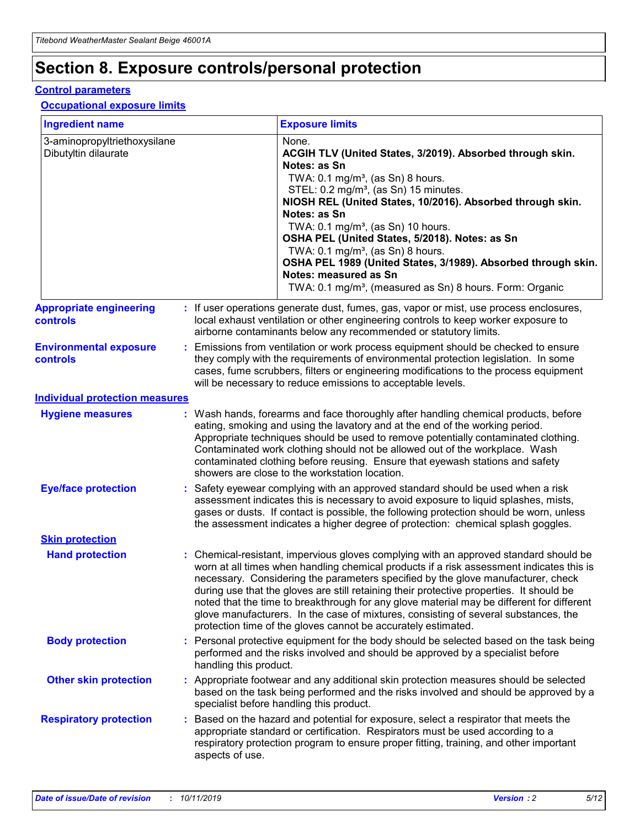# **Section 8. Exposure controls/personal protection**

#### **Control parameters**

#### **Occupational exposure limits**

| <b>Ingredient name</b>                               |    |                                          | <b>Exposure limits</b>                                                                                                                                                                                                                                                                                                                                                                                                                                                                                                                                                                                                 |
|------------------------------------------------------|----|------------------------------------------|------------------------------------------------------------------------------------------------------------------------------------------------------------------------------------------------------------------------------------------------------------------------------------------------------------------------------------------------------------------------------------------------------------------------------------------------------------------------------------------------------------------------------------------------------------------------------------------------------------------------|
| 3-aminopropyltriethoxysilane<br>Dibutyltin dilaurate |    |                                          | None.<br>ACGIH TLV (United States, 3/2019). Absorbed through skin.<br>Notes: as Sn<br>TWA: 0.1 mg/m <sup>3</sup> , (as Sn) 8 hours.<br>STEL: 0.2 mg/m <sup>3</sup> , (as Sn) 15 minutes.<br>NIOSH REL (United States, 10/2016). Absorbed through skin.<br>Notes: as Sn<br>TWA: 0.1 mg/m <sup>3</sup> , (as Sn) 10 hours.<br>OSHA PEL (United States, 5/2018). Notes: as Sn<br>TWA: $0.1 \text{ mg/m}^3$ , (as Sn) 8 hours.<br>OSHA PEL 1989 (United States, 3/1989). Absorbed through skin.<br>Notes: measured as Sn<br>TWA: 0.1 mg/m <sup>3</sup> , (measured as Sn) 8 hours. Form: Organic                           |
| <b>Appropriate engineering</b><br>controls           |    |                                          | : If user operations generate dust, fumes, gas, vapor or mist, use process enclosures,<br>local exhaust ventilation or other engineering controls to keep worker exposure to<br>airborne contaminants below any recommended or statutory limits.                                                                                                                                                                                                                                                                                                                                                                       |
| <b>Environmental exposure</b><br><b>controls</b>     |    |                                          | Emissions from ventilation or work process equipment should be checked to ensure<br>they comply with the requirements of environmental protection legislation. In some<br>cases, fume scrubbers, filters or engineering modifications to the process equipment<br>will be necessary to reduce emissions to acceptable levels.                                                                                                                                                                                                                                                                                          |
| <b>Individual protection measures</b>                |    |                                          |                                                                                                                                                                                                                                                                                                                                                                                                                                                                                                                                                                                                                        |
| <b>Hygiene measures</b>                              |    |                                          | : Wash hands, forearms and face thoroughly after handling chemical products, before<br>eating, smoking and using the lavatory and at the end of the working period.<br>Appropriate techniques should be used to remove potentially contaminated clothing.<br>Contaminated work clothing should not be allowed out of the workplace. Wash<br>contaminated clothing before reusing. Ensure that eyewash stations and safety<br>showers are close to the workstation location.                                                                                                                                            |
| <b>Eye/face protection</b>                           |    |                                          | : Safety eyewear complying with an approved standard should be used when a risk<br>assessment indicates this is necessary to avoid exposure to liquid splashes, mists,<br>gases or dusts. If contact is possible, the following protection should be worn, unless<br>the assessment indicates a higher degree of protection: chemical splash goggles.                                                                                                                                                                                                                                                                  |
| <b>Skin protection</b>                               |    |                                          |                                                                                                                                                                                                                                                                                                                                                                                                                                                                                                                                                                                                                        |
| <b>Hand protection</b>                               |    |                                          | : Chemical-resistant, impervious gloves complying with an approved standard should be<br>worn at all times when handling chemical products if a risk assessment indicates this is<br>necessary. Considering the parameters specified by the glove manufacturer, check<br>during use that the gloves are still retaining their protective properties. It should be<br>noted that the time to breakthrough for any glove material may be different for different<br>glove manufacturers. In the case of mixtures, consisting of several substances, the<br>protection time of the gloves cannot be accurately estimated. |
| <b>Body protection</b>                               |    | handling this product.                   | Personal protective equipment for the body should be selected based on the task being<br>performed and the risks involved and should be approved by a specialist before                                                                                                                                                                                                                                                                                                                                                                                                                                                |
| <b>Other skin protection</b>                         |    | specialist before handling this product. | : Appropriate footwear and any additional skin protection measures should be selected<br>based on the task being performed and the risks involved and should be approved by a                                                                                                                                                                                                                                                                                                                                                                                                                                          |
| <b>Respiratory protection</b>                        | ÷. | aspects of use.                          | Based on the hazard and potential for exposure, select a respirator that meets the<br>appropriate standard or certification. Respirators must be used according to a<br>respiratory protection program to ensure proper fitting, training, and other important                                                                                                                                                                                                                                                                                                                                                         |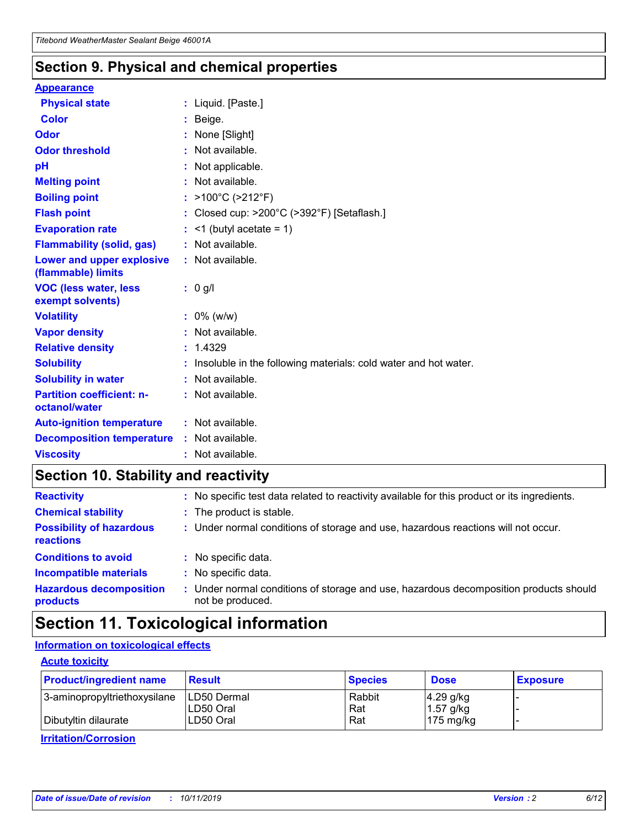## **Section 9. Physical and chemical properties**

#### **Appearance**

| <b>Physical state</b>                             | : Liquid. [Paste.]                                              |
|---------------------------------------------------|-----------------------------------------------------------------|
| Color                                             | Beige.                                                          |
| Odor                                              | None [Slight]                                                   |
| <b>Odor threshold</b>                             | $:$ Not available.                                              |
| рH                                                | : Not applicable.                                               |
| <b>Melting point</b>                              | : Not available.                                                |
| <b>Boiling point</b>                              | : >100°C (>212°F)                                               |
| <b>Flash point</b>                                | : Closed cup: $>200^{\circ}$ C ( $>392^{\circ}$ F) [Setaflash.] |
| <b>Evaporation rate</b>                           | $:$ <1 (butyl acetate = 1)                                      |
| <b>Flammability (solid, gas)</b>                  | : Not available.                                                |
| Lower and upper explosive<br>(flammable) limits   | : Not available.                                                |
| <b>VOC (less water, less</b><br>exempt solvents)  | : 0 g/l                                                         |
| <b>Volatility</b>                                 | $: 0\%$ (w/w)                                                   |
| <b>Vapor density</b>                              | : Not available.                                                |
| <b>Relative density</b>                           | : 1.4329                                                        |
| <b>Solubility</b>                                 | Insoluble in the following materials: cold water and hot water. |
| <b>Solubility in water</b>                        | : Not available.                                                |
| <b>Partition coefficient: n-</b><br>octanol/water | $:$ Not available.                                              |
| <b>Auto-ignition temperature</b>                  | : Not available.                                                |
|                                                   |                                                                 |
| <b>Decomposition temperature</b>                  | : Not available.                                                |

# **Section 10. Stability and reactivity**

| <b>Reactivity</b>                            |    | : No specific test data related to reactivity available for this product or its ingredients.            |
|----------------------------------------------|----|---------------------------------------------------------------------------------------------------------|
| <b>Chemical stability</b>                    |    | : The product is stable.                                                                                |
| <b>Possibility of hazardous</b><br>reactions |    | : Under normal conditions of storage and use, hazardous reactions will not occur.                       |
| <b>Conditions to avoid</b>                   |    | : No specific data.                                                                                     |
| <b>Incompatible materials</b>                | ٠. | No specific data.                                                                                       |
| <b>Hazardous decomposition</b><br>products   | ÷. | Under normal conditions of storage and use, hazardous decomposition products should<br>not be produced. |

# **Section 11. Toxicological information**

### **Information on toxicological effects**

#### **Acute toxicity**

| <b>Product/ingredient name</b> | <b>Result</b>           | <b>Species</b> | <b>Dose</b>                | <b>Exposure</b> |
|--------------------------------|-------------------------|----------------|----------------------------|-----------------|
| 3-aminopropyltriethoxysilane   | <b>ILD50 Dermal</b>     | Rabbit         | 4.29 g/kg                  |                 |
| Dibutyltin dilaurate           | ILD50 Oral<br>LD50 Oral | Rat<br>Rat     | $1.57$ g/kg<br>175 $mg/kg$ |                 |
|                                |                         |                |                            |                 |

**Irritation/Corrosion**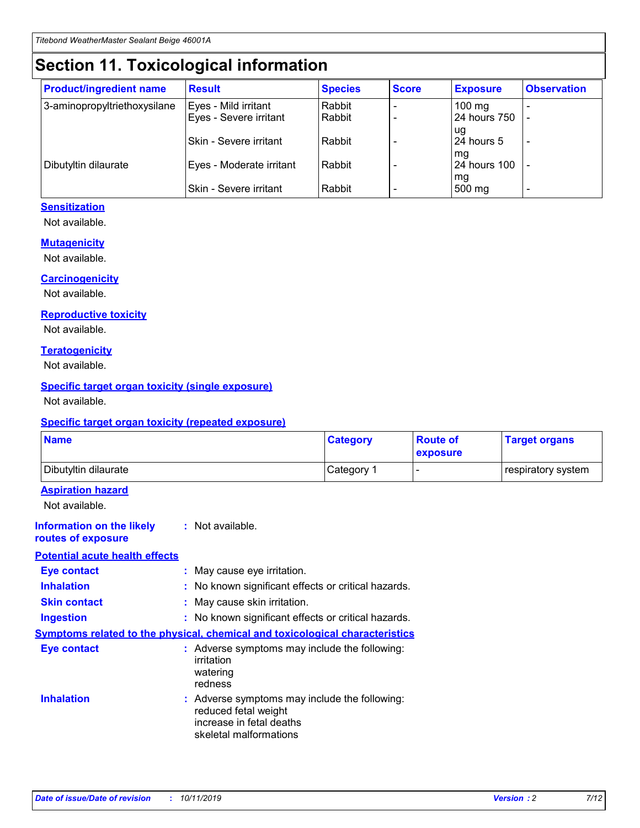# **Section 11. Toxicological information**

| <b>Product/ingredient name</b> | <b>Result</b>            | <b>Species</b> | <b>Score</b> | <b>Exposure</b>           | <b>Observation</b> |
|--------------------------------|--------------------------|----------------|--------------|---------------------------|--------------------|
| 3-aminopropyltriethoxysilane   | Eyes - Mild irritant     | Rabbit         |              | $100$ mg                  |                    |
|                                | Eyes - Severe irritant   | Rabbit         |              | 24 hours 750              |                    |
|                                |                          |                |              | ug                        |                    |
|                                | Skin - Severe irritant   | Rabbit         |              | 24 hours 5                | -                  |
| Dibutyltin dilaurate           | Eyes - Moderate irritant | Rabbit         |              | mg<br><b>24 hours 100</b> |                    |
|                                |                          |                |              | mg                        |                    |
|                                | Skin - Severe irritant   | Rabbit         |              | 500 mg                    | -                  |

### **Sensitization**

Not available.

#### **Mutagenicity**

Not available.

#### **Carcinogenicity**

Not available.

#### **Reproductive toxicity**

Not available.

#### **Teratogenicity**

Not available.

#### **Specific target organ toxicity (single exposure)**

Not available.

#### **Specific target organ toxicity (repeated exposure)**

| <b>Name</b>                                                                  |                                                                            | <b>Category</b>                                     | <b>Route of</b><br>exposure | <b>Target organs</b> |
|------------------------------------------------------------------------------|----------------------------------------------------------------------------|-----------------------------------------------------|-----------------------------|----------------------|
| Dibutyltin dilaurate                                                         |                                                                            | Category 1                                          | -                           | respiratory system   |
| <b>Aspiration hazard</b><br>Not available.                                   |                                                                            |                                                     |                             |                      |
| <b>Information on the likely</b><br>routes of exposure                       | : Not available.                                                           |                                                     |                             |                      |
| <b>Potential acute health effects</b>                                        |                                                                            |                                                     |                             |                      |
| <b>Eye contact</b>                                                           | : May cause eye irritation.                                                |                                                     |                             |                      |
| <b>Inhalation</b>                                                            |                                                                            | : No known significant effects or critical hazards. |                             |                      |
| <b>Skin contact</b>                                                          | : May cause skin irritation.                                               |                                                     |                             |                      |
| <b>Ingestion</b>                                                             |                                                                            | : No known significant effects or critical hazards. |                             |                      |
| Symptoms related to the physical, chemical and toxicological characteristics |                                                                            |                                                     |                             |                      |
| <b>Eye contact</b>                                                           | irritation<br>watering<br>redness                                          | : Adverse symptoms may include the following:       |                             |                      |
| <b>Inhalation</b>                                                            | reduced fetal weight<br>increase in fetal deaths<br>skeletal malformations | : Adverse symptoms may include the following:       |                             |                      |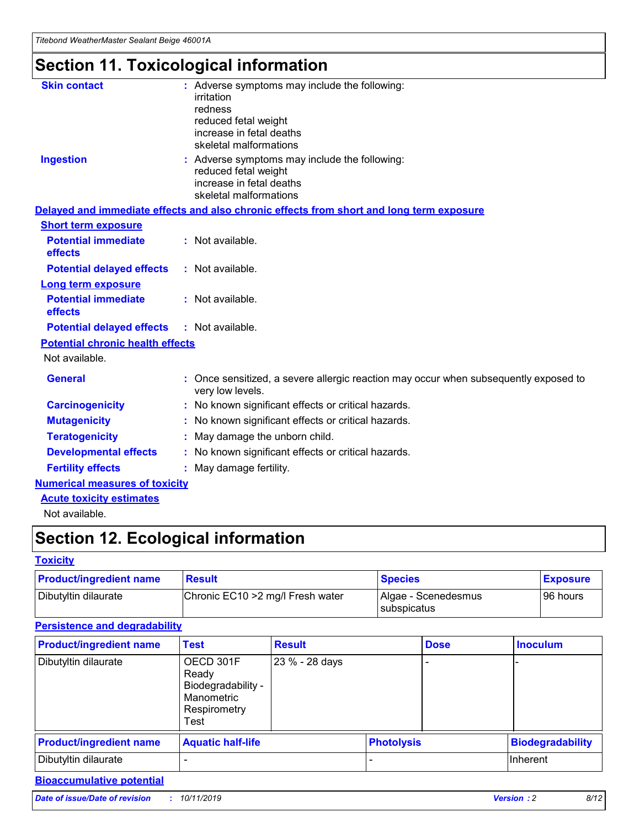# **Section 11. Toxicological information**

| <b>Skin contact</b>                     | : Adverse symptoms may include the following:                                                            |
|-----------------------------------------|----------------------------------------------------------------------------------------------------------|
|                                         | irritation                                                                                               |
|                                         | redness                                                                                                  |
|                                         | reduced fetal weight                                                                                     |
|                                         | increase in fetal deaths                                                                                 |
|                                         | skeletal malformations                                                                                   |
| <b>Ingestion</b>                        | : Adverse symptoms may include the following:                                                            |
|                                         | reduced fetal weight                                                                                     |
|                                         | increase in fetal deaths                                                                                 |
|                                         | skeletal malformations                                                                                   |
|                                         | Delayed and immediate effects and also chronic effects from short and long term exposure                 |
| <b>Short term exposure</b>              |                                                                                                          |
| <b>Potential immediate</b>              | : Not available.                                                                                         |
| effects                                 |                                                                                                          |
| <b>Potential delayed effects</b>        | : Not available.                                                                                         |
| Long term exposure                      |                                                                                                          |
| <b>Potential immediate</b>              | : Not available.                                                                                         |
| effects                                 |                                                                                                          |
| <b>Potential delayed effects</b>        | : Not available.                                                                                         |
| <b>Potential chronic health effects</b> |                                                                                                          |
| Not available.                          |                                                                                                          |
| <b>General</b>                          | : Once sensitized, a severe allergic reaction may occur when subsequently exposed to<br>very low levels. |
| <b>Carcinogenicity</b>                  | : No known significant effects or critical hazards.                                                      |
| <b>Mutagenicity</b>                     | : No known significant effects or critical hazards.                                                      |
| <b>Teratogenicity</b>                   | May damage the unborn child.                                                                             |
| <b>Developmental effects</b>            | : No known significant effects or critical hazards.                                                      |
| <b>Fertility effects</b>                | May damage fertility.                                                                                    |
| <b>Numerical measures of toxicity</b>   |                                                                                                          |
| <b>Acute toxicity estimates</b>         |                                                                                                          |
| الملحلة والمستحقق فالمرابط              |                                                                                                          |

Not available.

# **Section 12. Ecological information**

#### **Toxicity**

| <b>Product/ingredient name</b> | <b>Result</b>                     | <b>Species</b>                       | <b>Exposure</b> |
|--------------------------------|-----------------------------------|--------------------------------------|-----------------|
| Dibutyltin dilaurate           | Chronic EC10 > 2 mg/l Fresh water | Algae - Scenedesmus<br>I subspicatus | l 96 hours      |

### **Persistence and degradability**

| <b>Product/ingredient name</b> | <b>Test</b>                                                                    | <b>Result</b>  |                   | <b>Dose</b> | <b>Inoculum</b>         |
|--------------------------------|--------------------------------------------------------------------------------|----------------|-------------------|-------------|-------------------------|
| Dibutyltin dilaurate           | OECD 301F<br>Ready<br>Biodegradability -<br>Manometric<br>Respirometry<br>Test | 23 % - 28 days |                   |             |                         |
| <b>Product/ingredient name</b> | <b>Aquatic half-life</b>                                                       |                | <b>Photolysis</b> |             | <b>Biodegradability</b> |
| Dibutyltin dilaurate           |                                                                                |                |                   |             | Inherent                |

### **Bioaccumulative potential**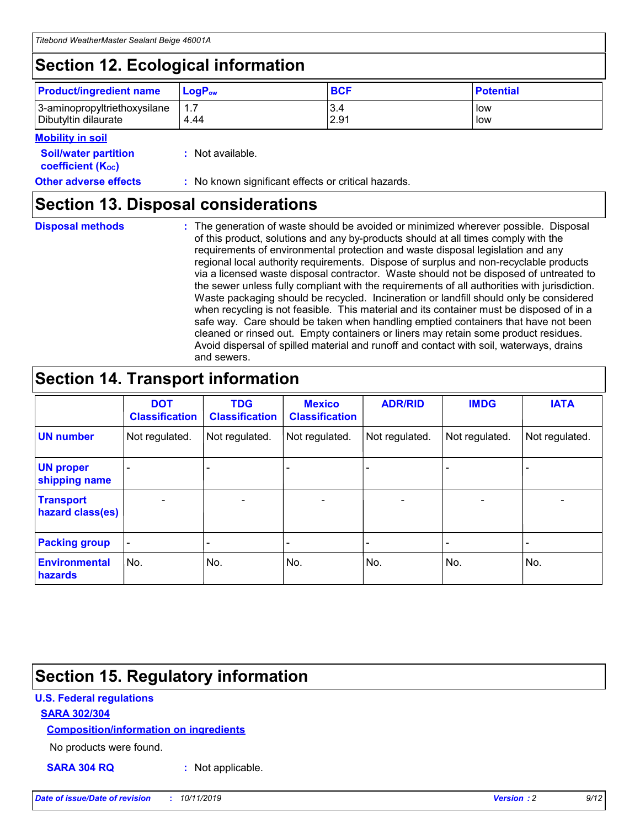# **Section 12. Ecological information**

| <b>Product/ingredient name</b> | $LoaPow$ | <b>BCF</b> | <b>Potential</b> |
|--------------------------------|----------|------------|------------------|
| 3-aminopropyltriethoxysilane   | 1.7      | 3.4        | low              |
| Dibutyltin dilaurate           | 4.44     | 2.91       | low              |

#### **Mobility in soil**

| <i></i>                                                       |                                                     |
|---------------------------------------------------------------|-----------------------------------------------------|
| <b>Soil/water partition</b><br>coefficient (K <sub>oc</sub> ) | : Not available.                                    |
| <b>Other adverse effects</b>                                  | : No known significant effects or critical hazards. |

## **Section 13. Disposal considerations**

**Disposal methods :**

The generation of waste should be avoided or minimized wherever possible. Disposal of this product, solutions and any by-products should at all times comply with the requirements of environmental protection and waste disposal legislation and any regional local authority requirements. Dispose of surplus and non-recyclable products via a licensed waste disposal contractor. Waste should not be disposed of untreated to the sewer unless fully compliant with the requirements of all authorities with jurisdiction. Waste packaging should be recycled. Incineration or landfill should only be considered when recycling is not feasible. This material and its container must be disposed of in a safe way. Care should be taken when handling emptied containers that have not been cleaned or rinsed out. Empty containers or liners may retain some product residues. Avoid dispersal of spilled material and runoff and contact with soil, waterways, drains and sewers.

# **Section 14. Transport information**

|                                      | <b>DOT</b><br><b>Classification</b> | <b>TDG</b><br><b>Classification</b> | <b>Mexico</b><br><b>Classification</b> | <b>ADR/RID</b> | <b>IMDG</b>              | <b>IATA</b>              |
|--------------------------------------|-------------------------------------|-------------------------------------|----------------------------------------|----------------|--------------------------|--------------------------|
| <b>UN number</b>                     | Not regulated.                      | Not regulated.                      | Not regulated.                         | Not regulated. | Not regulated.           | Not regulated.           |
| <b>UN proper</b><br>shipping name    | $\blacksquare$                      |                                     |                                        |                |                          |                          |
| <b>Transport</b><br>hazard class(es) | $\blacksquare$                      | $\overline{\phantom{a}}$            | $\blacksquare$                         | $\blacksquare$ | $\overline{\phantom{a}}$ | $\overline{\phantom{0}}$ |
| <b>Packing group</b>                 | $\overline{\phantom{a}}$            | $\overline{\phantom{0}}$            | $\overline{\phantom{a}}$               | -              | $\overline{\phantom{0}}$ | $\overline{\phantom{a}}$ |
| <b>Environmental</b><br>hazards      | No.                                 | No.                                 | No.                                    | No.            | No.                      | No.                      |

# **Section 15. Regulatory information**

### **U.S. Federal regulations**

#### **SARA 302/304**

#### **Composition/information on ingredients**

No products were found.

**SARA 304 RQ :** Not applicable.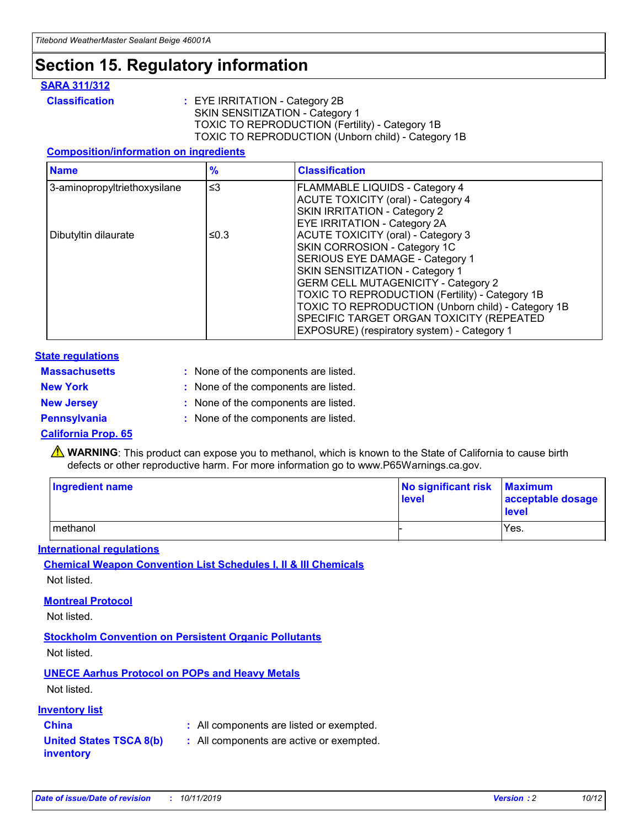# **Section 15. Regulatory information**

#### **SARA 311/312**

**Classification :** EYE IRRITATION - Category 2B SKIN SENSITIZATION - Category 1 TOXIC TO REPRODUCTION (Fertility) - Category 1B TOXIC TO REPRODUCTION (Unborn child) - Category 1B

#### **Composition/information on ingredients**

| <b>Name</b>                  | $\frac{9}{6}$ | <b>Classification</b>                                                                                            |
|------------------------------|---------------|------------------------------------------------------------------------------------------------------------------|
| 3-aminopropyltriethoxysilane | $\leq$ 3      | <b>FLAMMABLE LIQUIDS - Category 4</b><br><b>ACUTE TOXICITY (oral) - Category 4</b>                               |
|                              |               | SKIN IRRITATION - Category 2<br>EYE IRRITATION - Category 2A                                                     |
| Dibutyltin dilaurate         | ≤0.3          | ACUTE TOXICITY (oral) - Category 3<br>SKIN CORROSION - Category 1C                                               |
|                              |               | SERIOUS EYE DAMAGE - Category 1<br>SKIN SENSITIZATION - Category 1<br><b>GERM CELL MUTAGENICITY - Category 2</b> |
|                              |               | TOXIC TO REPRODUCTION (Fertility) - Category 1B<br>TOXIC TO REPRODUCTION (Unborn child) - Category 1B            |
|                              |               | SPECIFIC TARGET ORGAN TOXICITY (REPEATED<br>EXPOSURE) (respiratory system) - Category 1                          |

#### **State regulations**

| <b>Massachusetts</b> | : None of the components are listed. |
|----------------------|--------------------------------------|
| <b>New York</b>      | : None of the components are listed. |
| <b>New Jersey</b>    | : None of the components are listed. |
| <b>Pennsylvania</b>  | : None of the components are listed. |

#### **California Prop. 65**

**A** WARNING: This product can expose you to methanol, which is known to the State of California to cause birth defects or other reproductive harm. For more information go to www.P65Warnings.ca.gov.

| <b>Ingredient name</b> | No significant risk Maximum<br>level | acceptable dosage<br>level |
|------------------------|--------------------------------------|----------------------------|
| methanol               |                                      | Yes.                       |

#### **International regulations**

**Chemical Weapon Convention List Schedules I, II & III Chemicals** Not listed.

#### **Montreal Protocol**

Not listed.

#### **Stockholm Convention on Persistent Organic Pollutants**

Not listed.

### **UNECE Aarhus Protocol on POPs and Heavy Metals**

Not listed.

#### **Inventory list**

## **China :** All components are listed or exempted.

**United States TSCA 8(b) inventory :** All components are active or exempted.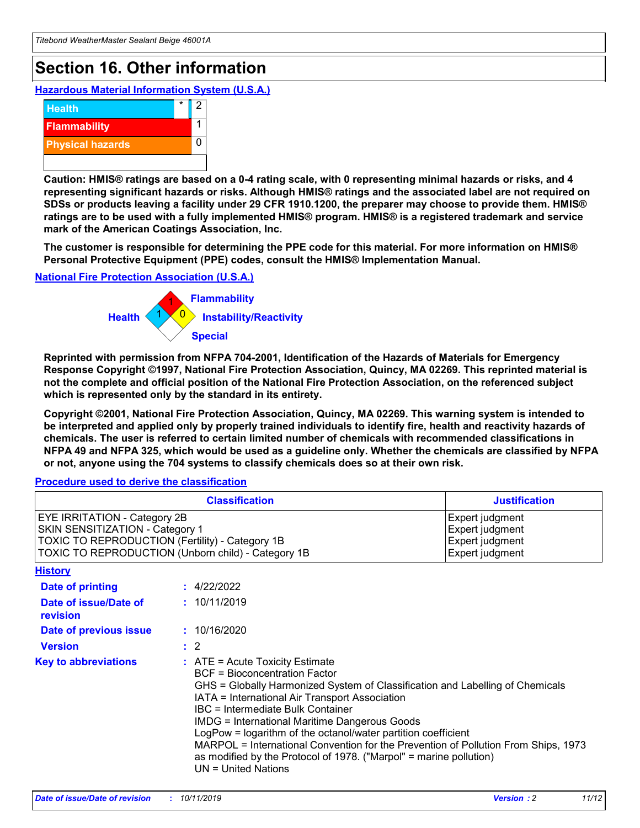# **Section 16. Other information**

**Hazardous Material Information System (U.S.A.)**



**Caution: HMIS® ratings are based on a 0-4 rating scale, with 0 representing minimal hazards or risks, and 4 representing significant hazards or risks. Although HMIS® ratings and the associated label are not required on SDSs or products leaving a facility under 29 CFR 1910.1200, the preparer may choose to provide them. HMIS® ratings are to be used with a fully implemented HMIS® program. HMIS® is a registered trademark and service mark of the American Coatings Association, Inc.**

**The customer is responsible for determining the PPE code for this material. For more information on HMIS® Personal Protective Equipment (PPE) codes, consult the HMIS® Implementation Manual.**

#### **National Fire Protection Association (U.S.A.)**



**Reprinted with permission from NFPA 704-2001, Identification of the Hazards of Materials for Emergency Response Copyright ©1997, National Fire Protection Association, Quincy, MA 02269. This reprinted material is not the complete and official position of the National Fire Protection Association, on the referenced subject which is represented only by the standard in its entirety.**

**Copyright ©2001, National Fire Protection Association, Quincy, MA 02269. This warning system is intended to be interpreted and applied only by properly trained individuals to identify fire, health and reactivity hazards of chemicals. The user is referred to certain limited number of chemicals with recommended classifications in NFPA 49 and NFPA 325, which would be used as a guideline only. Whether the chemicals are classified by NFPA or not, anyone using the 704 systems to classify chemicals does so at their own risk.**

**Procedure used to derive the classification**

| <b>Classification</b>                                                                                                                                                    |                                                                                                                                                  | <b>Justification</b>                                                                                                                                                                                                                                                                                                                                                                                                 |  |
|--------------------------------------------------------------------------------------------------------------------------------------------------------------------------|--------------------------------------------------------------------------------------------------------------------------------------------------|----------------------------------------------------------------------------------------------------------------------------------------------------------------------------------------------------------------------------------------------------------------------------------------------------------------------------------------------------------------------------------------------------------------------|--|
| EYE IRRITATION - Category 2B<br>SKIN SENSITIZATION - Category 1<br>TOXIC TO REPRODUCTION (Fertility) - Category 1B<br>TOXIC TO REPRODUCTION (Unborn child) - Category 1B |                                                                                                                                                  | Expert judgment<br>Expert judgment<br>Expert judgment<br>Expert judgment                                                                                                                                                                                                                                                                                                                                             |  |
| <b>History</b>                                                                                                                                                           |                                                                                                                                                  |                                                                                                                                                                                                                                                                                                                                                                                                                      |  |
| Date of printing                                                                                                                                                         | : 4/22/2022                                                                                                                                      |                                                                                                                                                                                                                                                                                                                                                                                                                      |  |
| Date of issue/Date of<br>revision                                                                                                                                        | : 10/11/2019                                                                                                                                     |                                                                                                                                                                                                                                                                                                                                                                                                                      |  |
| Date of previous issue                                                                                                                                                   | : 10/16/2020                                                                                                                                     |                                                                                                                                                                                                                                                                                                                                                                                                                      |  |
| <b>Version</b>                                                                                                                                                           | $\therefore$ 2                                                                                                                                   |                                                                                                                                                                                                                                                                                                                                                                                                                      |  |
| <b>Key to abbreviations</b>                                                                                                                                              | $\therefore$ ATE = Acute Toxicity Estimate<br><b>BCF</b> = Bioconcentration Factor<br>IBC = Intermediate Bulk Container<br>$UN = United Nations$ | GHS = Globally Harmonized System of Classification and Labelling of Chemicals<br>IATA = International Air Transport Association<br><b>IMDG = International Maritime Dangerous Goods</b><br>LogPow = logarithm of the octanol/water partition coefficient<br>MARPOL = International Convention for the Prevention of Pollution From Ships, 1973<br>as modified by the Protocol of 1978. ("Marpol" = marine pollution) |  |